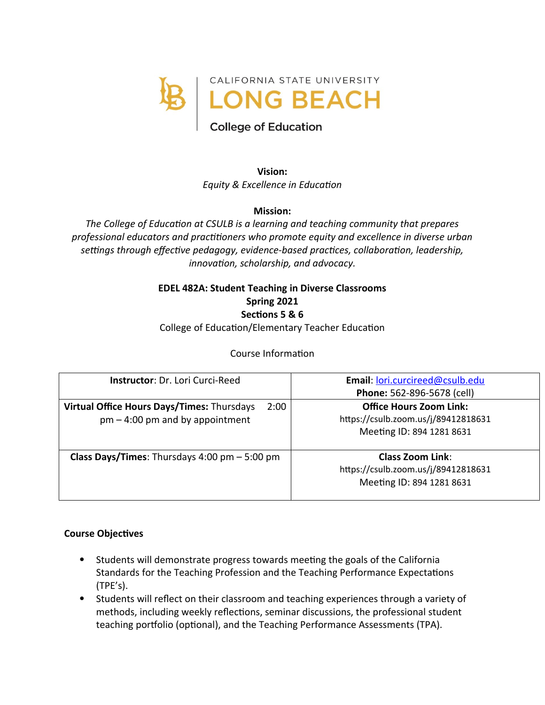

# **College of Education**

**Vision:** *Equity & Excellence in Education*

## **Mission:**

*The College of Education at CSULB is a learning and teaching community that prepares professional educators and practitioners who promote equity and excellence in diverse urban settings through effective pedagogy, evidence-based practices, collaboration, leadership, innovation, scholarship, and advocacy.*

# **EDEL 482A: Student Teaching in Diverse Classrooms Spring 2021 Sections 5 & 6**

College of Education/Elementary Teacher Education

# Course Information

| <b>Instructor: Dr. Lori Curci-Reed</b>                                                  | Email: lori.curcireed@csulb.edu<br>Phone: 562-896-5678 (cell)                                      |
|-----------------------------------------------------------------------------------------|----------------------------------------------------------------------------------------------------|
| Virtual Office Hours Days/Times: Thursdays<br>2:00<br>$pm - 4:00$ pm and by appointment | <b>Office Hours Zoom Link:</b><br>https://csulb.zoom.us/j/89412818631<br>Meeting ID: 894 1281 8631 |
| <b>Class Days/Times:</b> Thursdays $4:00 \text{ pm} - 5:00 \text{ pm}$                  | <b>Class Zoom Link:</b><br>https://csulb.zoom.us/j/89412818631<br>Meeting ID: 894 1281 8631        |

#### **Course Objectives**

- Students will demonstrate progress towards meeting the goals of the California Standards for the Teaching Profession and the Teaching Performance Expectations (TPE's).
- Students will reflect on their classroom and teaching experiences through a variety of methods, including weekly reflections, seminar discussions, the professional student teaching portfolio (optional), and the Teaching Performance Assessments (TPA).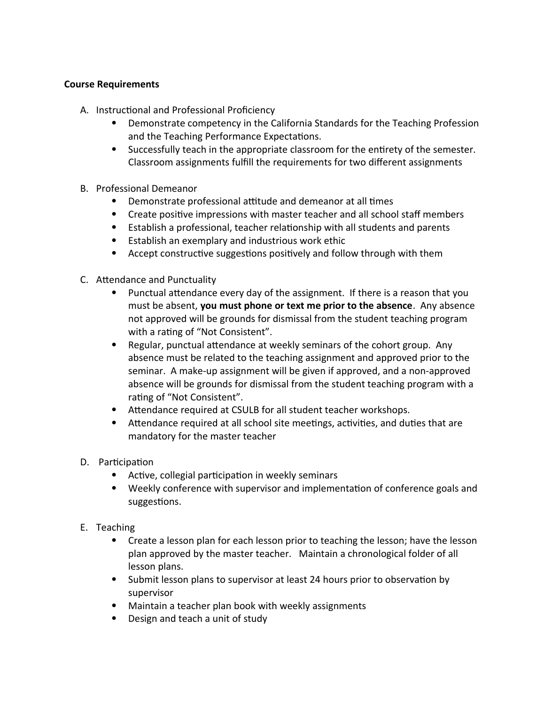## **Course Requirements**

- A. Instructional and Professional Proficiency
	- Demonstrate competency in the California Standards for the Teaching Profession and the Teaching Performance Expectations.
	- Successfully teach in the appropriate classroom for the entirety of the semester. Classroom assignments fulfill the requirements for two different assignments
- B. Professional Demeanor
	- Demonstrate professional attitude and demeanor at all times
	- Create positive impressions with master teacher and all school staff members
	- Establish a professional, teacher relationship with all students and parents
	- Establish an exemplary and industrious work ethic
	- Accept constructive suggestions positively and follow through with them
- C. Attendance and Punctuality
	- Punctual attendance every day of the assignment. If there is a reason that you must be absent, **you must phone or text me prior to the absence**. Any absence not approved will be grounds for dismissal from the student teaching program with a rating of "Not Consistent".
	- Regular, punctual attendance at weekly seminars of the cohort group. Any absence must be related to the teaching assignment and approved prior to the seminar. A make-up assignment will be given if approved, and a non-approved absence will be grounds for dismissal from the student teaching program with a rating of "Not Consistent".
	- Attendance required at CSULB for all student teacher workshops.
	- Attendance required at all school site meetings, activities, and duties that are mandatory for the master teacher
- D. Participation
	- Active, collegial participation in weekly seminars
	- Weekly conference with supervisor and implementation of conference goals and suggestions.
- E. Teaching
	- Create a lesson plan for each lesson prior to teaching the lesson; have the lesson plan approved by the master teacher. Maintain a chronological folder of all lesson plans.
	- Submit lesson plans to supervisor at least 24 hours prior to observation by supervisor
	- Maintain a teacher plan book with weekly assignments
	- Design and teach a unit of study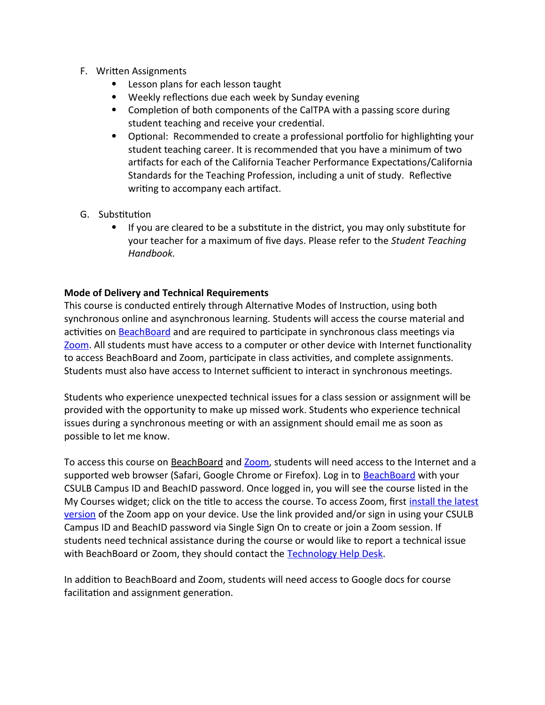- F. Written Assignments
	- Lesson plans for each lesson taught
	- Weekly reflections due each week by Sunday evening
	- Completion of both components of the CalTPA with a passing score during student teaching and receive your credential.
	- Optional: Recommended to create a professional portfolio for highlighting your student teaching career. It is recommended that you have a minimum of two artifacts for each of the California Teacher Performance Expectations/California Standards for the Teaching Profession, including a unit of study. Reflective writing to accompany each artifact.
- G. Substitution
	- If you are cleared to be a substitute in the district, you may only substitute for your teacher for a maximum of five days. Please refer to the *Student Teaching Handbook.*

## **Mode of Delivery and Technical Requirements**

This course is conducted entirely through Alternative Modes of Instruction, using both synchronous online and asynchronous learning. Students will access the course material and activities on **BeachBoard** and are required to participate in synchronous class meetings via [Zoom](https://csulb.zoom.us/meeting). All students must have access to a computer or other device with Internet functionality to access BeachBoard and Zoom, participate in class activities, and complete assignments. Students must also have access to Internet sufficient to interact in synchronous meetings.

Students who experience unexpected technical issues for a class session or assignment will be provided with the opportunity to make up missed work. Students who experience technical issues during a synchronous meeting or with an assignment should email me as soon as possible to let me know.

To access this course on BeachBoard and [Zoom](https://csulb.zoom.us/meeting), students will need access to the Internet and a supported web browser (Safari, Google Chrome or Firefox). Log in to [BeachBoard](https://bbcsulb.desire2learn.com/) with your CSULB Campus ID and BeachID password. Once logged in, you will see the course listed in the My Courses widget; click on the title to access the course. To access Zoom, first [install the latest](https://zoom.us/download) [version](https://zoom.us/download) of the Zoom app on your device. Use the link provided and/or sign in using your CSULB Campus ID and BeachID password via Single Sign On to create or join a Zoom session. If students need technical assistance during the course or would like to report a technical issue with BeachBoard or Zoom, they should contact the [Technology Help Desk](https://www.csulb.edu/academic-technology-services/academic-technology-resources-for-students).

In addition to BeachBoard and Zoom, students will need access to Google docs for course facilitation and assignment generation.